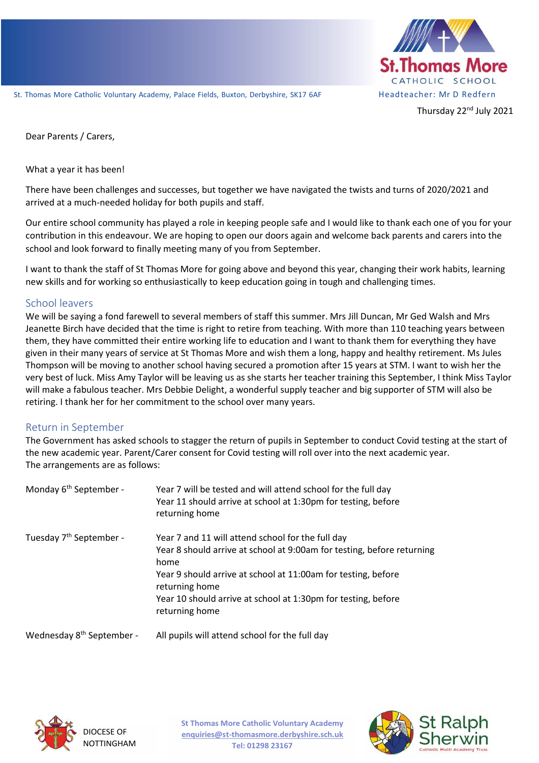

Dear Parents / Carers,

What a year it has been!

There have been challenges and successes, but together we have navigated the twists and turns of 2020/2021 and arrived at a much-needed holiday for both pupils and staff.

Our entire school community has played a role in keeping people safe and I would like to thank each one of you for your contribution in this endeavour. We are hoping to open our doors again and welcome back parents and carers into the school and look forward to finally meeting many of you from September.

I want to thank the staff of St Thomas More for going above and beyond this year, changing their work habits, learning new skills and for working so enthusiastically to keep education going in tough and challenging times.

#### School leavers

We will be saying a fond farewell to several members of staff this summer. Mrs Jill Duncan, Mr Ged Walsh and Mrs Jeanette Birch have decided that the time is right to retire from teaching. With more than 110 teaching years between them, they have committed their entire working life to education and I want to thank them for everything they have given in their many years of service at St Thomas More and wish them a long, happy and healthy retirement. Ms Jules Thompson will be moving to another school having secured a promotion after 15 years at STM. I want to wish her the very best of luck. Miss Amy Taylor will be leaving us as she starts her teacher training this September, I think Miss Taylor will make a fabulous teacher. Mrs Debbie Delight, a wonderful supply teacher and big supporter of STM will also be retiring. I thank her for her commitment to the school over many years.

## Return in September

The Government has asked schools to stagger the return of pupils in September to conduct Covid testing at the start of the new academic year. Parent/Carer consent for Covid testing will roll over into the next academic year. The arrangements are as follows:

| Monday 6 <sup>th</sup> September -    | Year 7 will be tested and will attend school for the full day<br>Year 11 should arrive at school at 1:30pm for testing, before<br>returning home                                                                                                                                                          |
|---------------------------------------|-----------------------------------------------------------------------------------------------------------------------------------------------------------------------------------------------------------------------------------------------------------------------------------------------------------|
| Tuesday 7 <sup>th</sup> September -   | Year 7 and 11 will attend school for the full day<br>Year 8 should arrive at school at 9:00am for testing, before returning<br>home<br>Year 9 should arrive at school at 11:00am for testing, before<br>returning home<br>Year 10 should arrive at school at 1:30pm for testing, before<br>returning home |
| Wednesday 8 <sup>th</sup> September - | All pupils will attend school for the full day                                                                                                                                                                                                                                                            |



**St Thomas More Catholic Voluntary Academy enquiries@st-thomasmore.derbyshire.sch.uk Tel: 01298 23167**

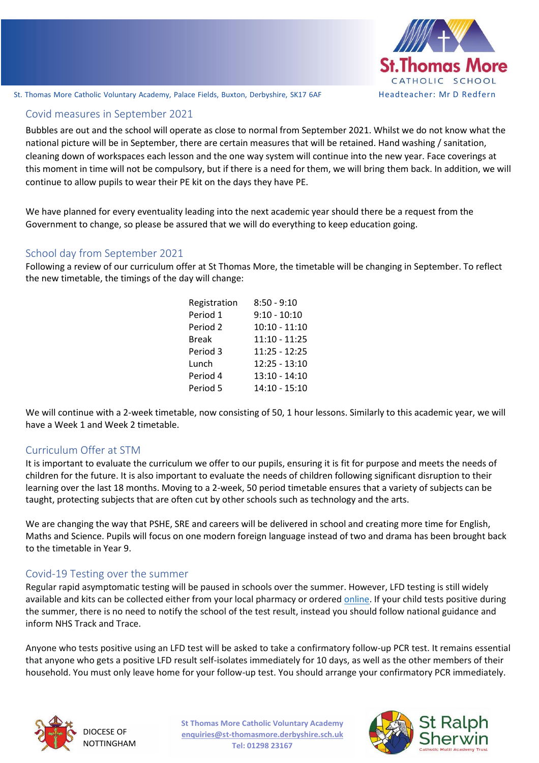

St. Thomas More Catholic Voluntary Academy, Palace Fields, Buxton, Derbyshire, SK17 6AF Headteacher: Mr D Redfern

# Covid measures in September 2021

continue to allow pupils to wear their PE kit on the days they have PE. Bubbles are out and the school will operate as close to normal from September 2021. Whilst we do not know what the national picture will be in September, there are certain measures that will be retained. Hand washing / sanitation, cleaning down of workspaces each lesson and the one way system will continue into the new year. Face coverings at this moment in time will not be compulsory, but if there is a need for them, we will bring them back. In addition, we will

We have planned for every eventuality leading into the next academic year should there be a request from the Government to change, so please be assured that we will do everything to keep education going.

### School day from September 2021

Following a review of our curriculum offer at St Thomas More, the timetable will be changing in September. To reflect the new timetable, the timings of the day will change:

| $8:50 - 9:10$   |
|-----------------|
| $9:10 - 10:10$  |
| $10:10 - 11:10$ |
| 11:10 - 11:25   |
| $11:25 - 12:25$ |
| $12:25 - 13:10$ |
| 13:10 - 14:10   |
| 14:10 - 15:10   |
|                 |

We will continue with a 2-week timetable, now consisting of 50, 1 hour lessons. Similarly to this academic year, we will have a Week 1 and Week 2 timetable.

#### Curriculum Offer at STM

It is important to evaluate the curriculum we offer to our pupils, ensuring it is fit for purpose and meets the needs of children for the future. It is also important to evaluate the needs of children following significant disruption to their learning over the last 18 months. Moving to a 2-week, 50 period timetable ensures that a variety of subjects can be taught, protecting subjects that are often cut by other schools such as technology and the arts.

We are changing the way that PSHE, SRE and careers will be delivered in school and creating more time for English, Maths and Science. Pupils will focus on one modern foreign language instead of two and drama has been brought back to the timetable in Year 9.

## Covid-19 Testing over the summer

Regular rapid asymptomatic testing will be paused in schools over the summer. However, LFD testing is still widely available and kits can be collected either from your local pharmacy or ordered [online.](https://www.gov.uk/order-coronavirus-rapid-lateral-flow-tests?utm_source=28%20June%202021%20C19&utm_medium=Daily%20Email%20C19&utm_campaign=DfE%20C19) If your child tests positive during the summer, there is no need to notify the school of the test result, instead you should follow national guidance and inform NHS Track and Trace.

Anyone who tests positive using an LFD test will be asked to take a confirmatory follow-up PCR test. It remains essential that anyone who gets a positive LFD result self-isolates immediately for 10 days, as well as the other members of their household. You must only leave home for your follow-up test. You should arrange your confirmatory PCR immediately.



DIOCESE OF NOTTINGHAM **St Thomas More Catholic Voluntary Academy enquiries@st-thomasmore.derbyshire.sch.uk Tel: 01298 23167**